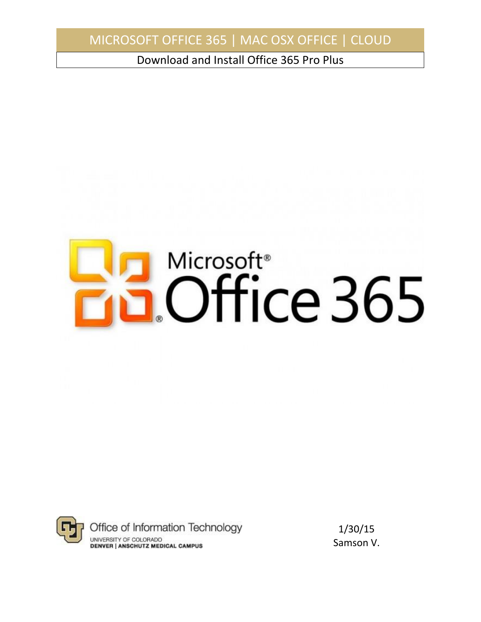Download and Install Office 365 Pro Plus





1/30/15 Samson V.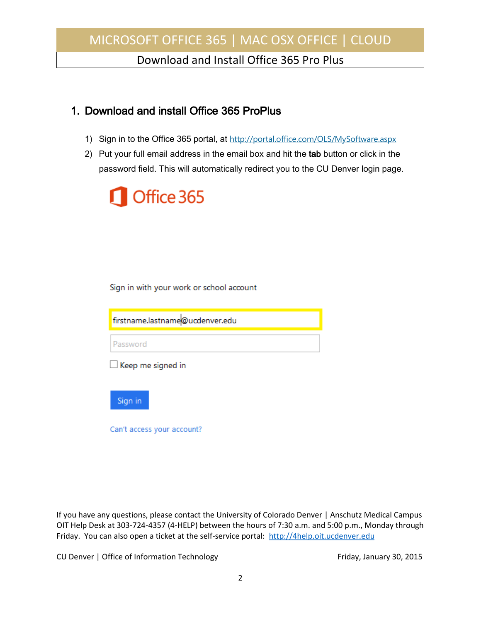Download and Install Office 365 Pro Plus

### 1. Download and install Office 365 ProPlus

- 1) Sign in to the Office 365 portal, at <http://portal.office.com/OLS/MySoftware.aspx>
- 2) Put your full email address in the email box and hit the tab button or click in the password field. This will automatically redirect you to the CU Denver login page.



Sign in with your work or school account

firstname.lastname@ucdenver.edu

Password

 $\Box$  Keep me signed in



Can't access your account?

If you have any questions, please contact the University of Colorado Denver | Anschutz Medical Campus OIT Help Desk at 303-724-4357 (4-HELP) between the hours of 7:30 a.m. and 5:00 p.m., Monday through Friday. You can also open a ticket at the self-service portal: [http://4help.oit.ucdenver.edu](http://4help.oit.ucdenver.edu/)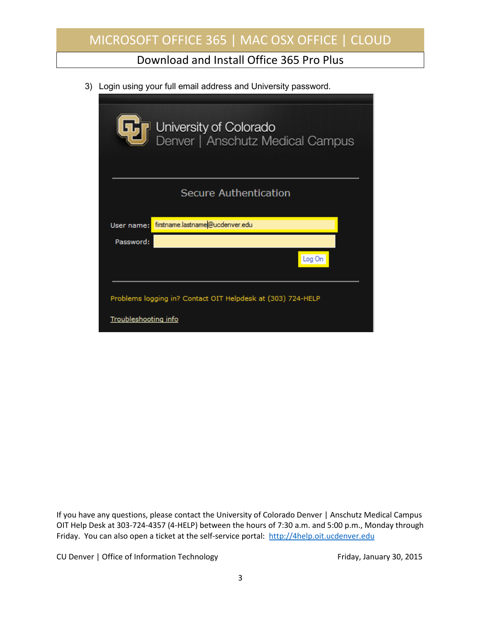Download and Install Office 365 Pro Plus

3) Login using your full email address and University password.

|                             | University of Colorado<br>Denver   Anschutz Medical Campus  |
|-----------------------------|-------------------------------------------------------------|
|                             | <b>Secure Authentication</b>                                |
| User name:                  | firstname.lastname@ucdenver.edu                             |
| Password:                   |                                                             |
|                             | Log On                                                      |
|                             | Problems logging in? Contact OIT Helpdesk at (303) 724-HELP |
| <b>Troubleshooting info</b> |                                                             |

If you have any questions, please contact the University of Colorado Denver | Anschutz Medical Campus OIT Help Desk at 303-724-4357 (4-HELP) between the hours of 7:30 a.m. and 5:00 p.m., Monday through Friday. You can also open a ticket at the self-service portal: [http://4help.oit.ucdenver.edu](http://4help.oit.ucdenver.edu/)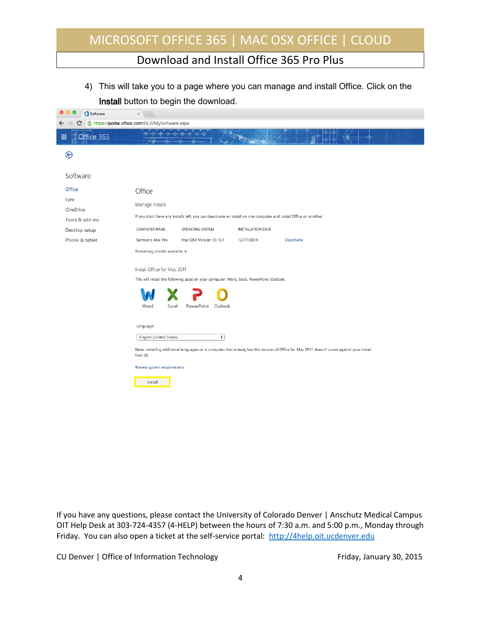### Download and Install Office 365 Pro Plus

4) This will take you to a page where you can manage and install Office. Click on the Install button to begin the download.

| Software         | $\times$                                      |                                                                                                                   |                          |                                                                                                                                             |  |
|------------------|-----------------------------------------------|-------------------------------------------------------------------------------------------------------------------|--------------------------|---------------------------------------------------------------------------------------------------------------------------------------------|--|
| €                | https://portal.office.com/OLS/MySoftware.aspx |                                                                                                                   |                          |                                                                                                                                             |  |
| Office 365<br>冊  |                                               | -0<br>⊕<br>$\oplus$                                                                                               |                          |                                                                                                                                             |  |
| $\bm{\Theta}$    |                                               |                                                                                                                   |                          |                                                                                                                                             |  |
| Software         |                                               |                                                                                                                   |                          |                                                                                                                                             |  |
| Office           | Office                                        |                                                                                                                   |                          |                                                                                                                                             |  |
| Lync<br>OneDrive | Manage installs                               |                                                                                                                   |                          |                                                                                                                                             |  |
| Tools & add-ins  |                                               | If you don't have any installs left, you can deactivate an install on one computer and install Office on another. |                          |                                                                                                                                             |  |
| Desktop setup    | COMPUTER NAME                                 | OPERATING SYSTEM                                                                                                  | <b>INSTALLATION DATE</b> |                                                                                                                                             |  |
| Phone & tablet   | Samson's Mac Pro                              | Mac OSX Version 10.10.1                                                                                           | 12/17/2014               | Deactivate                                                                                                                                  |  |
|                  | Remaining installs available: 4               |                                                                                                                   |                          |                                                                                                                                             |  |
|                  | Install Office for Mac 2011                   |                                                                                                                   |                          |                                                                                                                                             |  |
|                  |                                               | This will install the following apps on your computer: Word, Excel, PowerPoint, Outlook.                          |                          |                                                                                                                                             |  |
|                  | Word<br>Excel                                 | Outlook<br>PowerPoint                                                                                             |                          |                                                                                                                                             |  |
|                  | Language:<br><b>English (United States)</b>   | $\ddot{\phantom{a}}$                                                                                              |                          |                                                                                                                                             |  |
|                  | $limit(5)$ .                                  |                                                                                                                   |                          | Note: Installing additional languages on a computer that already has this version of Office for Mac 2011 doesn't count against your install |  |
|                  | Review system requirements                    |                                                                                                                   |                          |                                                                                                                                             |  |
|                  | Install                                       |                                                                                                                   |                          |                                                                                                                                             |  |

If you have any questions, please contact the University of Colorado Denver | Anschutz Medical Campus OIT Help Desk at 303-724-4357 (4-HELP) between the hours of 7:30 a.m. and 5:00 p.m., Monday through Friday. You can also open a ticket at the self-service portal: [http://4help.oit.ucdenver.edu](http://4help.oit.ucdenver.edu/)

CU Denver | Office of Information Technology **Fichara CU Denver | Office of Information Technology Friday**, January 30, 2015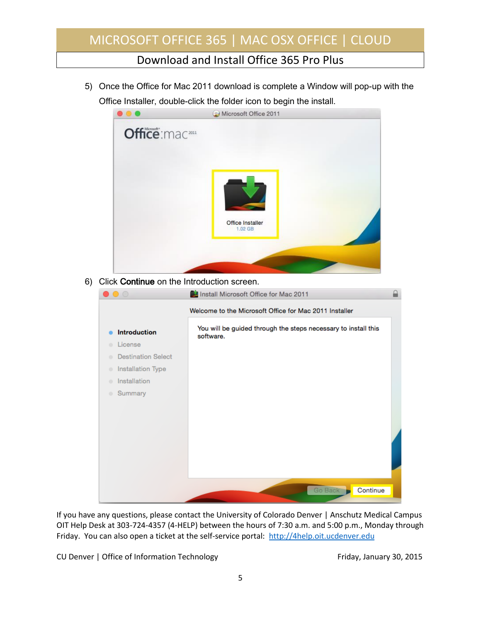Download and Install Office 365 Pro Plus

5) Once the Office for Mac 2011 download is complete a Window will pop-up with the Office Installer, double-click the folder icon to begin the install.



6) Click Continue on the Introduction screen.

| $\bigcirc$                     | Install Microsoft Office for Mac 2011                                       |  |
|--------------------------------|-----------------------------------------------------------------------------|--|
|                                | Welcome to the Microsoft Office for Mac 2011 Installer                      |  |
| <b>Introduction</b>            | You will be guided through the steps necessary to install this<br>software. |  |
| License                        |                                                                             |  |
| <b>Destination Select</b><br>۰ |                                                                             |  |
| Installation Type<br>۰         |                                                                             |  |
| Installation<br>۰              |                                                                             |  |
| Summary<br>$\bullet$           |                                                                             |  |
|                                |                                                                             |  |
|                                |                                                                             |  |
|                                |                                                                             |  |
|                                |                                                                             |  |
|                                |                                                                             |  |
|                                |                                                                             |  |
|                                |                                                                             |  |
|                                | Go Back<br>Continue                                                         |  |
|                                |                                                                             |  |

If you have any questions, please contact the University of Colorado Denver | Anschutz Medical Campus OIT Help Desk at 303-724-4357 (4-HELP) between the hours of 7:30 a.m. and 5:00 p.m., Monday through Friday. You can also open a ticket at the self-service portal: [http://4help.oit.ucdenver.edu](http://4help.oit.ucdenver.edu/)

CU Denver | Office of Information Technology **Fichara CU Denver | Office of Information Technology Friday**, January 30, 2015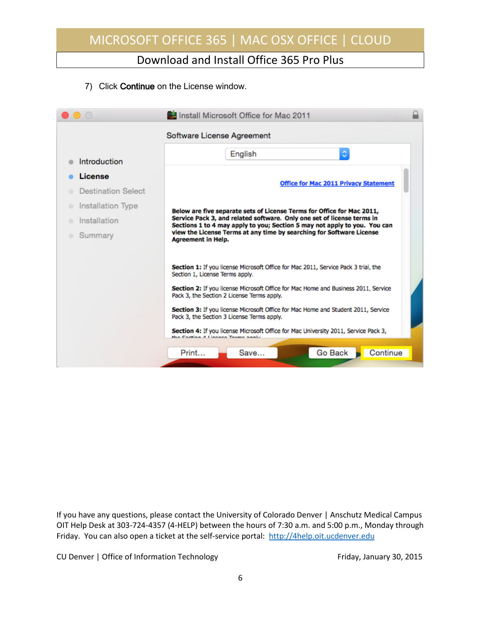Download and Install Office 365 Pro Plus

7) Click Continue on the License window.

|                           | Install Microsoft Office for Mac 2011                                                                                                               |  |  |  |  |
|---------------------------|-----------------------------------------------------------------------------------------------------------------------------------------------------|--|--|--|--|
|                           | Software License Agreement                                                                                                                          |  |  |  |  |
| Introduction              | ¢<br>English                                                                                                                                        |  |  |  |  |
| License                   |                                                                                                                                                     |  |  |  |  |
| <b>Destination Select</b> | <b>Office for Mac 2011 Privacy Statement</b>                                                                                                        |  |  |  |  |
| Installation Type         | Below are five separate sets of License Terms for Office for Mac 2011,                                                                              |  |  |  |  |
| Installation              | Service Pack 3, and related software. Only one set of license terms in<br>Sections 1 to 4 may apply to you; Section 5 may not apply to you. You can |  |  |  |  |
| Summary                   | view the License Terms at any time by searching for Software License<br><b>Agreement in Help.</b>                                                   |  |  |  |  |
|                           |                                                                                                                                                     |  |  |  |  |
|                           | Section 1: If you license Microsoft Office for Mac 2011, Service Pack 3 trial, the<br>Section 1, License Terms apply.                               |  |  |  |  |
|                           | Section 2: If you license Microsoft Office for Mac Home and Business 2011, Service<br>Pack 3, the Section 2 License Terms apply.                    |  |  |  |  |
|                           | Section 3: If you license Microsoft Office for Mac Home and Student 2011, Service<br>Pack 3, the Section 3 License Terms apply.                     |  |  |  |  |
|                           | Section 4: If you license Microsoft Office for Mac University 2011, Service Pack 3,<br>the Coetlan A.I. leaned Torms angly                          |  |  |  |  |
|                           | Continue<br>Go Back<br>Print<br>Save                                                                                                                |  |  |  |  |

If you have any questions, please contact the University of Colorado Denver | Anschutz Medical Campus OIT Help Desk at 303-724-4357 (4-HELP) between the hours of 7:30 a.m. and 5:00 p.m., Monday through Friday. You can also open a ticket at the self-service portal: [http://4help.oit.ucdenver.edu](http://4help.oit.ucdenver.edu/)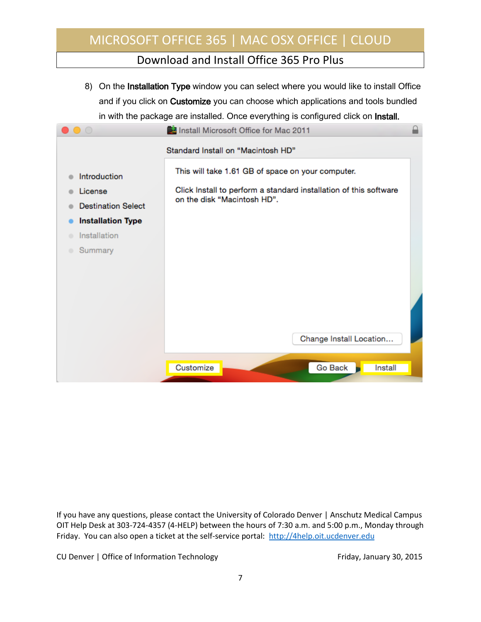### Download and Install Office 365 Pro Plus

8) On the Installation Type window you can select where you would like to install Office and if you click on Customize you can choose which applications and tools bundled in with the package are installed. Once everything is configured click on Install.



If you have any questions, please contact the University of Colorado Denver | Anschutz Medical Campus OIT Help Desk at 303-724-4357 (4-HELP) between the hours of 7:30 a.m. and 5:00 p.m., Monday through Friday. You can also open a ticket at the self-service portal: [http://4help.oit.ucdenver.edu](http://4help.oit.ucdenver.edu/)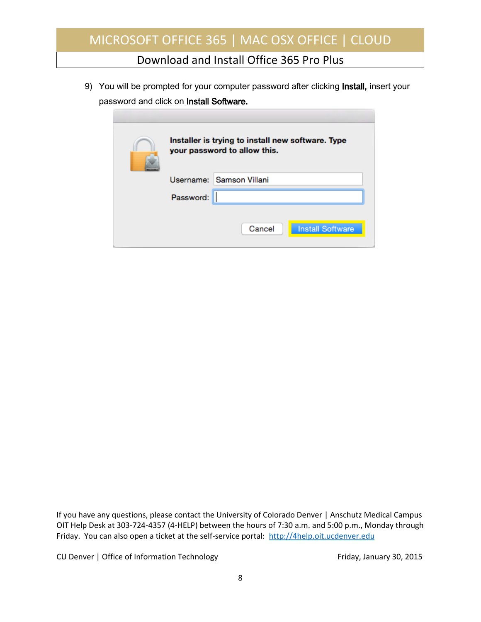Download and Install Office 365 Pro Plus

9) You will be prompted for your computer password after clicking Install, insert your password and click on Install Software.

| Installer is trying to install new software. Type<br>your password to allow this. |  |  |  |
|-----------------------------------------------------------------------------------|--|--|--|
| Username: Samson Villani                                                          |  |  |  |
| Password:                                                                         |  |  |  |
| Cancel<br><b>Install Software</b>                                                 |  |  |  |

If you have any questions, please contact the University of Colorado Denver | Anschutz Medical Campus OIT Help Desk at 303-724-4357 (4-HELP) between the hours of 7:30 a.m. and 5:00 p.m., Monday through Friday. You can also open a ticket at the self-service portal: [http://4help.oit.ucdenver.edu](http://4help.oit.ucdenver.edu/)

CU Denver | Office of Information Technology **Fichara CU Denver | Office of Information Technology Friday**, January 30, 2015